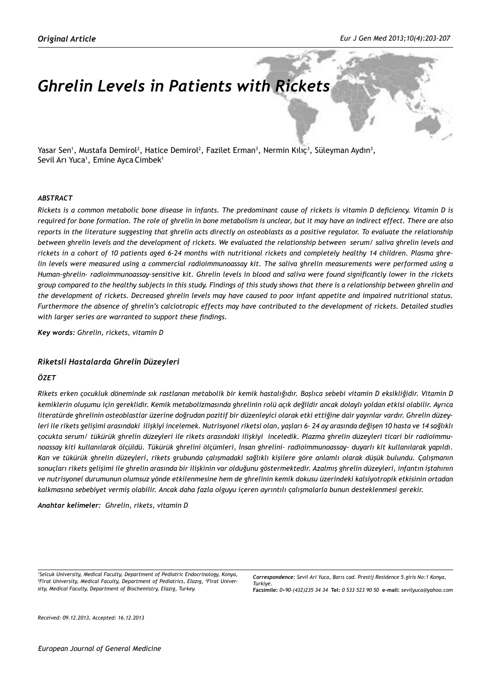# *Ghrelin Levels in Patients with Rickets*

Yasar Sen<sup>1</sup>, Mustafa Demirol<sup>2</sup>, Hatice Demirol<sup>2</sup>, Fazilet Erman<sup>3</sup>, Nermin Kılıç<sup>3</sup>, Süleyman Aydın<sup>3</sup>, Sevil Arı Yuca<sup>ı</sup>, Emine Ayca Cimbek<sup>ı</sup>

#### *ABSTRACT*

*Rickets is a common metabolic bone disease in infants. The predominant cause of rickets is vitamin D deficiency. Vitamin D is required for bone formation. The role of ghrelin in bone metabolism is unclear, but it may have an indirect effect. There are also reports in the literature suggesting that ghrelin acts directly on osteoblasts as a positive regulator. To evaluate the relationship between ghrelin levels and the development of rickets. We evaluated the relationship between serum/ saliva ghrelin levels and rickets in a cohort of 10 patients aged 6-24 months with nutritional rickets and completely healthy 14 children. Plasma ghrelin levels were measured using a commercial radioimmunoassay kit. The saliva ghrelin measurements were performed using a Human-ghrelin- radioimmunoassay-sensitive kit. Ghrelin levels in blood and saliva were found significantly lower in the rickets group compared to the healthy subjects in this study. Findings of this study shows that there is a relationship between ghrelin and the development of rickets. Decreased ghrelin levels may have caused to poor infant appetite and impaired nutritional status. Furthermore the absence of ghrelin's calciotropic effects may have contributed to the development of rickets. Detailed studies with larger series are warranted to support these findings.*

*Key words: Ghrelin, rickets, vitamin D*

## *Riketsli Hastalarda Ghrelin Düzeyleri*

## *ÖZET*

*Rikets erken çocukluk döneminde sık rastlanan metabolik bir kemik hastalığıdır. Başlıca sebebi vitamin D eksikliğidir. Vitamin D kemiklerin oluşumu için gereklidir. Kemik metabolizmasında ghrelinin rolü açık değildir ancak dolaylı yoldan etkisi olabilir. Ayrıca literatürde ghrelinin osteoblastlar üzerine doğrudan pozitif bir düzenleyici olarak etki ettiğine dair yayınlar vardır. Ghrelin düzeyleri ile rikets gelişimi arasındaki ilişkiyi incelemek. Nutrisyonel riketsi olan, yaşları 6- 24 ay arasında değişen 10 hasta ve 14 sağlıklı çocukta serum/ tükürük ghrelin düzeyleri ile rikets arasındaki ilişkiyi inceledik. Plazma ghrelin düzeyleri ticari bir radioimmunoassay kiti kullanılarak ölçüldü. Tükürük ghrelini ölçümleri, İnsan ghrelini- radioimmunoassay- duyarlı kit kullanılarak yapıldı. Kan ve tükürük ghrelin düzeyleri, rikets grubunda çalışmadaki sağlıklı kişilere göre anlamlı olarak düşük bulundu. Çalışmanın sonuçları rikets gelişimi ile ghrelin arasında bir ilişkinin var olduğunu göstermektedir. Azalmış ghrelin düzeyleri, infantın iştahının ve nutrisyonel durumunun olumsuz yönde etkilenmesine hem de ghrelinin kemik dokusu üzerindeki kalsiyotropik etkisinin ortadan kalkmasına sebebiyet vermiş olabilir. Ancak daha fazla olguyu içeren ayrıntılı çalışmalarla bunun desteklenmesi gerekir.* 

*Anahtar kelimeler: Ghrelin, rikets, vitamin D*

*1 Selcuk University, Medical Faculty, Department of Pediatric Endocrinology, Konya, 2 Firat University, Medical Faculty, Department of Pediatrics, Elazıg, <sup>3</sup> Firat University, Medical Faculty, Department of Biochemistry, Elazıg, Turkey.*

*Correspondence: Sevil Ari Yuca, Barıs cad. Prestij Residence 5.giris No:1 Konya, Turkiye.*  **Facsimile:** *0+90-(432)235 34 34* **Tel:** *0 533 523 90 50* **e-mail:** *sevilyuca@yahoo.com*

*Received: 09.12.2013, Accepted: 16.12.2013*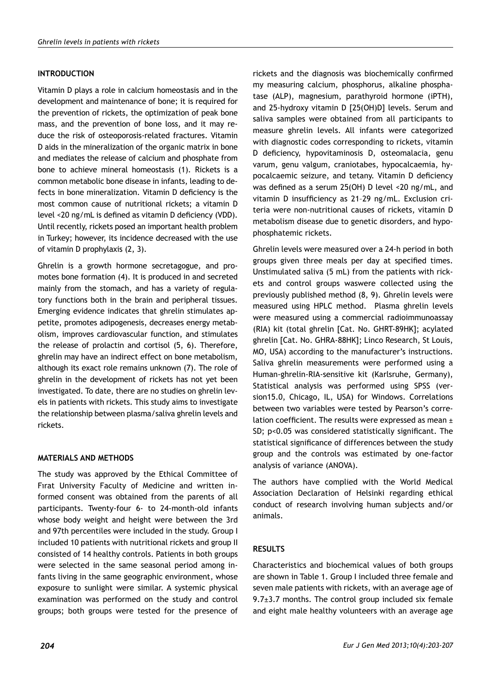# **INTRODUCTION**

Vitamin D plays a role in calcium homeostasis and in the development and maintenance of bone; it is required for the prevention of rickets, the optimization of peak bone mass, and the prevention of bone loss, and it may reduce the risk of osteoporosis-related fractures. Vitamin D aids in the mineralization of the organic matrix in bone and mediates the release of calcium and phosphate from bone to achieve mineral homeostasis (1). Rickets is a common metabolic bone disease in infants, leading to defects in bone mineralization. Vitamin D deficiency is the most common cause of nutritional rickets; a vitamin D level <20 ng/mL is defined as vitamin D deficiency (VDD). Until recently, rickets posed an important health problem in Turkey; however, its incidence decreased with the use of vitamin D prophylaxis (2, 3).

Ghrelin is a growth hormone secretagogue, and promotes bone formation (4). It is produced in and secreted mainly from the stomach, and has a variety of regulatory functions both in the brain and peripheral tissues. Emerging evidence indicates that ghrelin stimulates appetite, promotes adipogenesis, decreases energy metabolism, improves cardiovascular function, and stimulates the release of prolactin and cortisol (5, 6). Therefore, ghrelin may have an indirect effect on bone metabolism, although its exact role remains unknown (7). The role of ghrelin in the development of rickets has not yet been investigated. To date, there are no studies on ghrelin levels in patients with rickets. This study aims to investigate the relationship between plasma/saliva ghrelin levels and rickets.

# **MATERIALS AND METHODS**

The study was approved by the Ethical Committee of Fırat University Faculty of Medicine and written informed consent was obtained from the parents of all participants. Twenty-four 6- to 24-month-old infants whose body weight and height were between the 3rd and 97th percentiles were included in the study. Group I included 10 patients with nutritional rickets and group II consisted of 14 healthy controls. Patients in both groups were selected in the same seasonal period among infants living in the same geographic environment, whose exposure to sunlight were similar. A systemic physical examination was performed on the study and control groups; both groups were tested for the presence of

rickets and the diagnosis was biochemically confirmed my measuring calcium, phosphorus, alkaline phosphatase (ALP), magnesium, parathyroid hormone (iPTH), and 25-hydroxy vitamin D [25(OH)D] levels. Serum and saliva samples were obtained from all participants to measure ghrelin levels. All infants were categorized with diagnostic codes corresponding to rickets, vitamin D deficiency, hypovitaminosis D, osteomalacia, genu varum, genu valgum, craniotabes, hypocalcaemia, hypocalcaemic seizure, and tetany. Vitamin D deficiency was defined as a serum 25(OH) D level <20 ng/mL, and vitamin D insufficiency as 21–29 ng/mL. Exclusion criteria were non-nutritional causes of rickets, vitamin D metabolism disease due to genetic disorders, and hypophosphatemic rickets.

Ghrelin levels were measured over a 24-h period in both groups given three meals per day at specified times. Unstimulated saliva (5 mL) from the patients with rickets and control groups waswere collected using the previously published method (8, 9). Ghrelin levels were measured using HPLC method. Plasma ghrelin levels were measured using a commercial radioimmunoassay (RIA) kit (total ghrelin [Cat. No. GHRT-89HK]; acylated ghrelin [Cat. No. GHRA-88HK]; Linco Research, St Louis, MO, USA) according to the manufacturer's instructions. Saliva ghrelin measurements were performed using a Human-ghrelin-RIA-sensitive kit (Karlsruhe, Germany), Statistical analysis was performed using SPSS (version15.0, Chicago, IL, USA) for Windows. Correlations between two variables were tested by Pearson's correlation coefficient. The results were expressed as mean ± SD; p<0.05 was considered statistically significant. The statistical significance of differences between the study group and the controls was estimated by one-factor analysis of variance (ANOVA).

The authors have complied with the World Medical Association Declaration of Helsinki regarding ethical conduct of research involving human subjects and/or animals.

# **RESULTS**

Characteristics and biochemical values of both groups are shown in Table 1. Group I included three female and seven male patients with rickets, with an average age of  $9.7\pm3.7$  months. The control group included six female and eight male healthy volunteers with an average age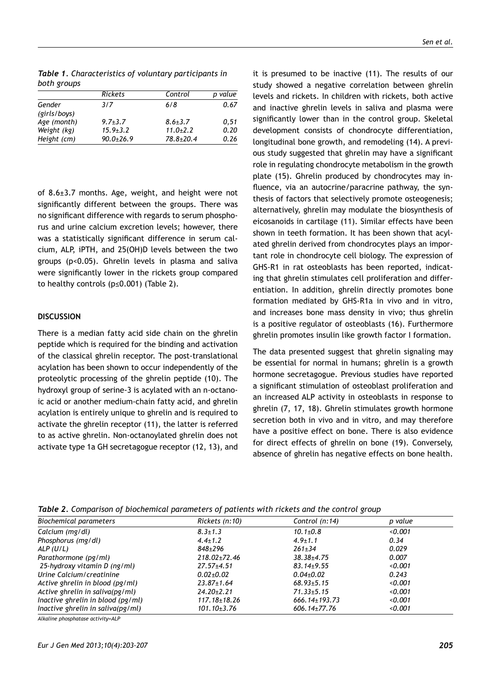*Table 1. Characteristics of voluntary participants in both groups*

|                        | <b>Rickets</b> | Control         | p value |
|------------------------|----------------|-----------------|---------|
| Gender<br>(girls/boys) | 3/7            | 6/8             | 0.67    |
| Age (month)            | $9.7 + 3.7$    | $8.6 \pm 3.7$   | 0.51    |
| Weight (kg)            | $15.9 \pm 3.2$ | $11.0 + 2.2$    | 0.20    |
| Height (cm)            | $90.0 + 26.9$  | $78.8 \pm 20.4$ | 0.26    |

of 8.6±3.7 months. Age, weight, and height were not significantly different between the groups. There was no significant difference with regards to serum phosphorus and urine calcium excretion levels; however, there was a statistically significant difference in serum calcium, ALP, iPTH, and 25(OH)D levels between the two groups (p<0.05). Ghrelin levels in plasma and saliva were significantly lower in the rickets group compared to healthy controls (p≤0.001) (Table 2).

## **DISCUSSION**

There is a median fatty acid side chain on the ghrelin peptide which is required for the binding and activation of the classical ghrelin receptor. The post-translational acylation has been shown to occur independently of the proteolytic processing of the ghrelin peptide (10). The hydroxyl group of serine-3 is acylated with an n-octanoic acid or another medium-chain fatty acid, and ghrelin acylation is entirely unique to ghrelin and is required to activate the ghrelin receptor (11), the latter is referred to as active ghrelin. Non-octanoylated ghrelin does not activate type 1a GH secretagogue receptor (12, 13), and it is presumed to be inactive (11). The results of our study showed a negative correlation between ghrelin levels and rickets. In children with rickets, both active and inactive ghrelin levels in saliva and plasma were significantly lower than in the control group. Skeletal development consists of chondrocyte differentiation, longitudinal bone growth, and remodeling (14). A previous study suggested that ghrelin may have a significant role in regulating chondrocyte metabolism in the growth plate (15). Ghrelin produced by chondrocytes may influence, via an autocrine/paracrine pathway, the synthesis of factors that selectively promote osteogenesis; alternatively, ghrelin may modulate the biosynthesis of eicosanoids in cartilage (11). Similar effects have been shown in teeth formation. It has been shown that acylated ghrelin derived from chondrocytes plays an important role in chondrocyte cell biology. The expression of GHS-R1 in rat osteoblasts has been reported, indicating that ghrelin stimulates cell proliferation and differentiation. In addition, ghrelin directly promotes bone formation mediated by GHS-R1a in vivo and in vitro, and increases bone mass density in vivo; thus ghrelin is a positive regulator of osteoblasts (16). Furthermore ghrelin promotes insulin like growth factor I formation.

The data presented suggest that ghrelin signaling may be essential for normal in humans; ghrelin is a growth hormone secretagogue. Previous studies have reported a significant stimulation of osteoblast proliferation and an increased ALP activity in osteoblasts in response to ghrelin (7, 17, 18). Ghrelin stimulates growth hormone secretion both in vivo and in vitro, and may therefore have a positive effect on bone. There is also evidence for direct effects of ghrelin on bone (19). Conversely, absence of ghrelin has negative effects on bone health.

| Rickets (n:10)     | Control (n:14)      | p value |  |  |  |
|--------------------|---------------------|---------|--|--|--|
| $8.3 \pm 1.3$      | $10.1 \pm 0.8$      | 0.001   |  |  |  |
| $4.4 \pm 1.2$      | $4.9 \pm 1.1$       | 0.34    |  |  |  |
| 848±296            | $261 \pm 34$        | 0.029   |  |  |  |
| 218.02±72.46       | $38.38 \pm 4.75$    | 0.007   |  |  |  |
| $27.57 \pm 4.51$   | $83.14 \pm 9.55$    | < 0.001 |  |  |  |
| $0.02 \pm 0.02$    | $0.04 \pm 0.02$     | 0.243   |  |  |  |
| $23.87 \pm 1.64$   | $68.93 \pm 5.15$    | 0.001   |  |  |  |
| $24.20 \pm 2.21$   | $71.33 \pm 5.15$    | <0.001  |  |  |  |
| $117.18 \pm 18.26$ | $666.14 \pm 193.73$ | 0.001   |  |  |  |
| $101.10 \pm 3.76$  | $606.14\pm77.76$    | < 0.001 |  |  |  |
|                    |                     |         |  |  |  |

*Table 2. Comparison of biochemical parameters of patients with rickets and the control group*

*Alkaline phosphatase activity=ALP*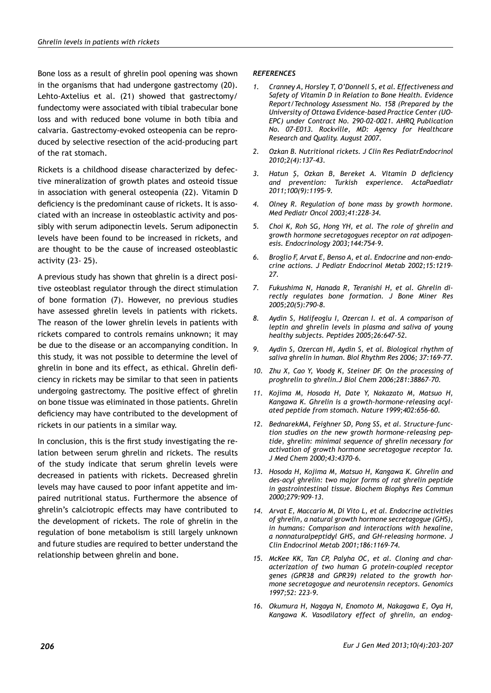Bone loss as a result of ghrelin pool opening was shown in the organisms that had undergone gastrectomy (20). Lehto-Axtelius et al. (21) showed that gastrectomy/ fundectomy were associated with tibial trabecular bone loss and with reduced bone volume in both tibia and calvaria. Gastrectomy-evoked osteopenia can be reproduced by selective resection of the acid-producing part of the rat stomach.

Rickets is a childhood disease characterized by defective mineralization of growth plates and osteoid tissue in association with general osteopenia (22). Vitamin D deficiency is the predominant cause of rickets. It is associated with an increase in osteoblastic activity and possibly with serum adiponectin levels. Serum adiponectin levels have been found to be increased in rickets, and are thought to be the cause of increased osteoblastic activity (23- 25).

A previous study has shown that ghrelin is a direct positive osteoblast regulator through the direct stimulation of bone formation (7). However, no previous studies have assessed ghrelin levels in patients with rickets. The reason of the lower ghrelin levels in patients with rickets compared to controls remains unknown; it may be due to the disease or an accompanying condition. In this study, it was not possible to determine the level of ghrelin in bone and its effect, as ethical. Ghrelin deficiency in rickets may be similar to that seen in patients undergoing gastrectomy. The positive effect of ghrelin on bone tissue was eliminated in those patients. Ghrelin deficiency may have contributed to the development of rickets in our patients in a similar way.

In conclusion, this is the first study investigating the relation between serum ghrelin and rickets. The results of the study indicate that serum ghrelin levels were decreased in patients with rickets. Decreased ghrelin levels may have caused to poor infant appetite and impaired nutritional status. Furthermore the absence of ghrelin's calciotropic effects may have contributed to the development of rickets. The role of ghrelin in the regulation of bone metabolism is still largely unknown and future studies are required to better understand the relationship between ghrelin and bone.

#### *REFERENCES*

- *1. Cranney A, Horsley T, O'Donnell S, et al. Effectiveness and Safety of Vitamin D in Relation to Bone Health. Evidence Report/Technology Assessment No. 158 (Prepared by the University of Ottawa Evidence-based Practice Center (UO-EPC) under Contract No. 290-02-0021. AHRQ Publication No. 07-E013. Rockville, MD: Agency for Healthcare Research and Quality. August 2007.*
- *2. Ozkan B. Nutritional rickets. J Clin Res PediatrEndocrinol 2010;2(4):137-43.*
- *3. Hatun Ş, Ozkan B, Bereket A. Vitamin D deficiency and prevention: Turkish experience. ActaPaediatr 2011;100(9):1195-9.*
- *4. Olney R. Regulation of bone mass by growth hormone. Med Pediatr Oncol 2003;41:228–34.*
- *5. Choi K, Roh SG, Hong YH, et al. The role of ghrelin and growth hormone secretagogues receptor on rat adipogenesis. Endocrinology 2003;144:754–9.*
- *6. Broglio F, Arvat E, Benso A, et al. Endocrine and non-endocrine actions. J Pediatr Endocrinol Metab 2002;15:1219– 27.*
- *7. Fukushima N, Hanada R, Teranishi H, et al. Ghrelin directly regulates bone formation. J Bone Miner Res 2005;20(5):790-8.*
- *8. Aydin S, Halifeoglu I, Ozercan I. et al. A comparison of leptin and ghrelin levels in plasma and saliva of young healthy subjects. Peptides 2005;26:647-52.*
- *9. Aydin S, Ozercan HI, Aydin S, et al. Biological rhythm of saliva ghrelin in human. Biol Rhythm Res 2006; 37:169-77.*
- *10. Zhu X, Cao Y, Voodg K, Steiner DF. On the processing of proghrelin to ghrelin.J Biol Chem 2006;281:38867–70.*
- *11. Kojima M, Hosoda H, Date Y, Nakazato M, Matsuo H, Kangawa K. Ghrelin is a growth-hormone-releasing acylated peptide from stomach. Nature 1999;402:656–60.*
- *12. BednarekMA, Feighner SD, Pong SS, et al. Structure–function studies on the new growth hormone-releasing peptide, ghrelin: minimal sequence of ghrelin necessary for activation of growth hormone secretagogue receptor 1a. J Med Chem 2000;43:4370–6.*
- *13. Hosoda H, Kojima M, Matsuo H, Kangawa K. Ghrelin and des-acyl ghrelin: two major forms of rat ghrelin peptide in gastrointestinal tissue. Biochem Biophys Res Commun 2000;279:909–13.*
- *14. Arvat E, Maccario M, Di Vito L, et al. Endocrine activities of ghrelin, a natural growth hormone secretagogue (GHS), in humans: Comparison and interactions with hexaline, a nonnaturalpeptidyl GHS, and GH-releasing hormone. J Clin Endocrinol Metab 2001;186:1169–74.*
- *15. McKee KK, Tan CP, Palyha OC, et al. Cloning and characterization of two human G protein-coupled receptor genes (GPR38 and GPR39) related to the growth hormone secretagogue and neurotensin receptors. Genomics 1997;52: 223–9.*
- *16. Okumura H, Nagaya N, Enomoto M, Nakagawa E, Oya H, Kangawa K. Vasodilatory effect of ghrelin, an endog-*